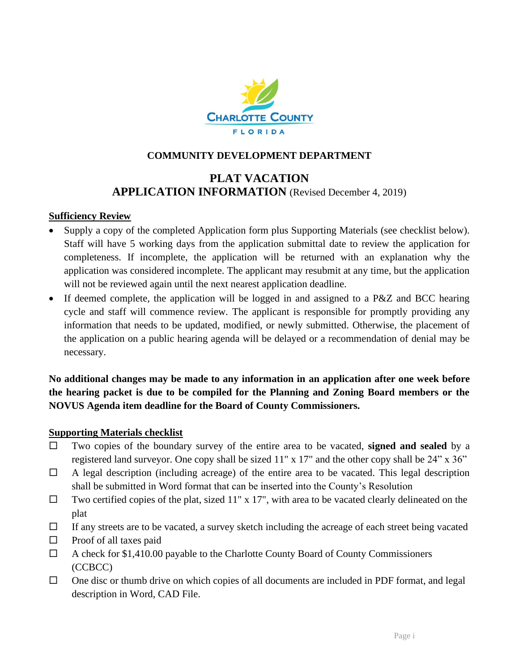

#### **COMMUNITY DEVELOPMENT DEPARTMENT**

## **PLAT VACATION APPLICATION INFORMATION** (Revised December 4, 2019)

#### **Sufficiency Review**

- Supply a copy of the completed Application form plus Supporting Materials (see checklist below)*.* Staff will have 5 working days from the application submittal date to review the application for completeness. If incomplete, the application will be returned with an explanation why the application was considered incomplete. The applicant may resubmit at any time, but the application will not be reviewed again until the next nearest application deadline.
- If deemed complete, the application will be logged in and assigned to a P&Z and BCC hearing cycle and staff will commence review. The applicant is responsible for promptly providing any information that needs to be updated, modified, or newly submitted. Otherwise, the placement of the application on a public hearing agenda will be delayed or a recommendation of denial may be necessary.

**No additional changes may be made to any information in an application after one week before the hearing packet is due to be compiled for the Planning and Zoning Board members or the NOVUS Agenda item deadline for the Board of County Commissioners.** 

#### **Supporting Materials checklist**

- Two copies of the boundary survey of the entire area to be vacated, **signed and sealed** by a registered land surveyor. One copy shall be sized 11" x 17" and the other copy shall be 24" x 36"
- $\Box$  A legal description (including acreage) of the entire area to be vacated. This legal description shall be submitted in Word format that can be inserted into the County's Resolution
- $\Box$  Two certified copies of the plat, sized 11" x 17", with area to be vacated clearly delineated on the plat
- $\Box$  If any streets are to be vacated, a survey sketch including the acreage of each street being vacated
- $\Box$  Proof of all taxes paid
- $\Box$  A check for \$1,410.00 payable to the Charlotte County Board of County Commissioners (CCBCC)
- $\Box$  One disc or thumb drive on which copies of all documents are included in PDF format, and legal description in Word, CAD File.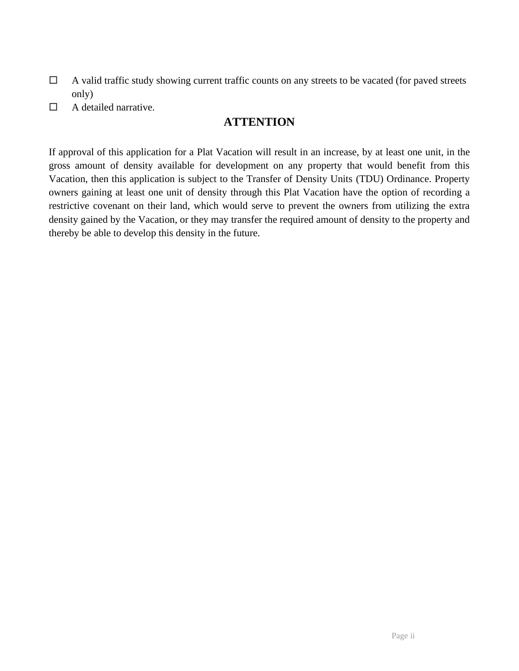- $\Box$  A valid traffic study showing current traffic counts on any streets to be vacated (for paved streets only)
- $\Box$  A detailed narrative.

## **ATTENTION**

If approval of this application for a Plat Vacation will result in an increase, by at least one unit, in the gross amount of density available for development on any property that would benefit from this Vacation, then this application is subject to the Transfer of Density Units (TDU) Ordinance. Property owners gaining at least one unit of density through this Plat Vacation have the option of recording a restrictive covenant on their land, which would serve to prevent the owners from utilizing the extra density gained by the Vacation, or they may transfer the required amount of density to the property and thereby be able to develop this density in the future.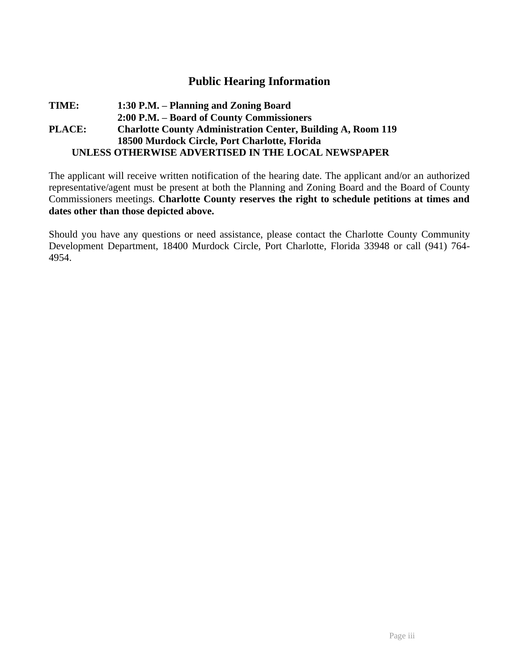## **Public Hearing Information**

#### **TIME: 1:30 P.M. – Planning and Zoning Board 2:00 P.M. – Board of County Commissioners PLACE: Charlotte County Administration Center, Building A, Room 119 18500 Murdock Circle, Port Charlotte, Florida UNLESS OTHERWISE ADVERTISED IN THE LOCAL NEWSPAPER**

The applicant will receive written notification of the hearing date. The applicant and/or an authorized representative/agent must be present at both the Planning and Zoning Board and the Board of County Commissioners meetings. **Charlotte County reserves the right to schedule petitions at times and dates other than those depicted above.** 

Should you have any questions or need assistance, please contact the Charlotte County Community Development Department, 18400 Murdock Circle, Port Charlotte, Florida 33948 or call (941) 764- 4954.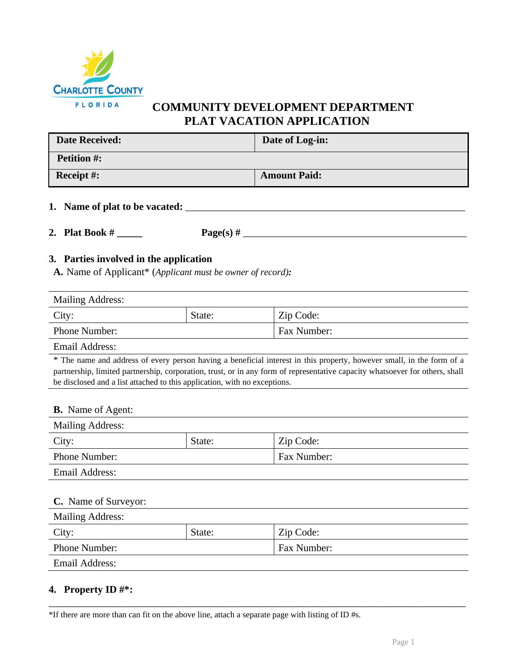

 **COMMUNITY DEVELOPMENT DEPARTMENT PLAT VACATION APPLICATION**

| <b>Date Received:</b>                                                                 | Date of Log-in:                                                                                                                                                                                                                                       |
|---------------------------------------------------------------------------------------|-------------------------------------------------------------------------------------------------------------------------------------------------------------------------------------------------------------------------------------------------------|
| <b>Petition #:</b>                                                                    |                                                                                                                                                                                                                                                       |
| Receipt #:                                                                            | <b>Amount Paid:</b>                                                                                                                                                                                                                                   |
| 1. Name of plat to be vacated: _________                                              |                                                                                                                                                                                                                                                       |
| 2. Plat Book $\#$                                                                     |                                                                                                                                                                                                                                                       |
| <b>A.</b> Name of Applicant* (Applicant must be owner of record):<br>Mailing Address: |                                                                                                                                                                                                                                                       |
| State:<br>City:                                                                       | Zip Code:                                                                                                                                                                                                                                             |
| Phone Number:                                                                         | Fax Number:                                                                                                                                                                                                                                           |
| <b>Email Address:</b>                                                                 |                                                                                                                                                                                                                                                       |
| be disclosed and a list attached to this application, with no exceptions.             | * The name and address of every person having a beneficial interest in this property, however small, in the form of a<br>partnership, limited partnership, corporation, trust, or in any form of representative capacity whatsoever for others, shall |
| <b>B.</b> Name of Agent:                                                              |                                                                                                                                                                                                                                                       |

| <b>Mailing Address:</b> |        |             |
|-------------------------|--------|-------------|
| City:                   | State: | Zip Code:   |
| Phone Number:           |        | Fax Number: |
| <b>Email Address:</b>   |        |             |
|                         |        |             |

| <b>C.</b> Name of Surveyor: |        |             |
|-----------------------------|--------|-------------|
| <b>Mailing Address:</b>     |        |             |
| City:                       | State: | Zip Code:   |
| Phone Number:               |        | Fax Number: |
| Email Address:              |        |             |

\_\_\_\_\_\_\_\_\_\_\_\_\_\_\_\_\_\_\_\_\_\_\_\_\_\_\_\_\_\_\_\_\_\_\_\_\_\_\_\_\_\_\_\_\_\_\_\_\_\_\_\_\_\_\_\_\_\_\_\_\_\_\_\_\_\_\_\_\_\_\_\_\_\_\_\_\_\_\_\_\_\_

## **4. Property ID #\*:**

\*If there are more than can fit on the above line, attach a separate page with listing of ID #s.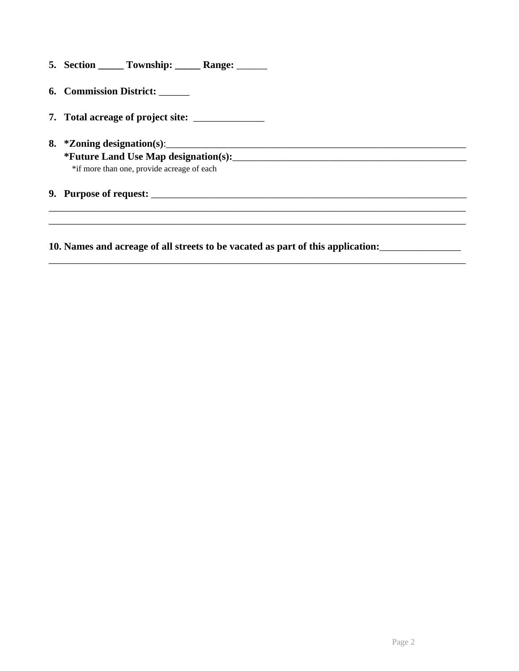| 5. Section | <b>Township:</b> | <b>Range:</b> |  |
|------------|------------------|---------------|--|
|            |                  |               |  |

- **6. Commission District:** \_\_\_\_\_\_
- **7. Total acreage of project site:** \_\_\_\_\_\_\_\_\_\_\_\_\_\_
- **8. \*Zoning designation(s)**:\_\_\_\_\_\_\_\_\_\_\_\_\_\_\_\_\_\_\_\_\_\_\_\_\_\_\_\_\_\_\_\_\_\_\_\_\_\_\_\_\_\_\_\_\_\_\_\_\_\_\_\_\_\_\_\_\_\_\_ **\*Future Land Use Map designation(s):**\_\_\_\_\_\_\_\_\_\_\_\_\_\_\_\_\_\_\_\_\_\_\_\_\_\_\_\_\_\_\_\_\_\_\_\_\_\_\_\_\_\_\_\_\_\_ \*if more than one, provide acreage of each

**9. Purpose of request:** 

**10. Names and acreage of all streets to be vacated as part of this application:**\_\_\_\_\_\_\_\_\_\_\_\_\_\_\_\_

\_\_\_\_\_\_\_\_\_\_\_\_\_\_\_\_\_\_\_\_\_\_\_\_\_\_\_\_\_\_\_\_\_\_\_\_\_\_\_\_\_\_\_\_\_\_\_\_\_\_\_\_\_\_\_\_\_\_\_\_\_\_\_\_\_\_\_\_\_\_\_\_\_\_\_\_\_\_\_\_\_\_

\_\_\_\_\_\_\_\_\_\_\_\_\_\_\_\_\_\_\_\_\_\_\_\_\_\_\_\_\_\_\_\_\_\_\_\_\_\_\_\_\_\_\_\_\_\_\_\_\_\_\_\_\_\_\_\_\_\_\_\_\_\_\_\_\_\_\_\_\_\_\_\_\_\_\_\_\_\_\_\_\_\_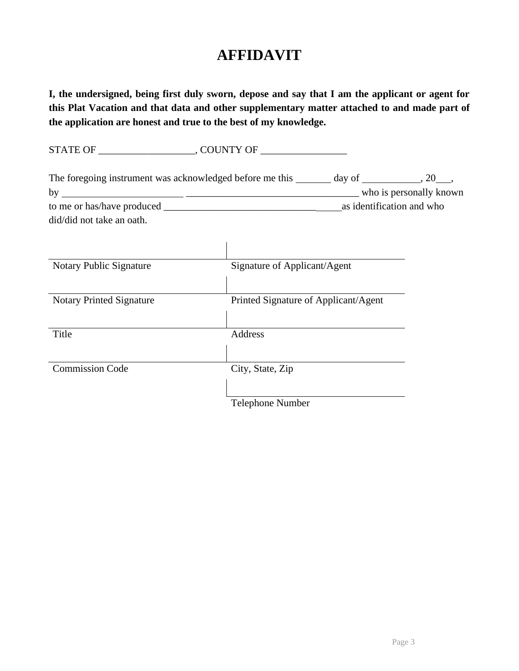# **AFFIDAVIT**

**I, the undersigned, being first duly sworn, depose and say that I am the applicant or agent for this Plat Vacation and that data and other supplementary matter attached to and made part of the application are honest and true to the best of my knowledge.**

STATE OF \_\_\_\_\_\_\_\_\_\_\_\_\_\_\_\_\_\_\_, COUNTY OF \_\_\_\_\_\_\_\_\_\_\_\_\_\_\_\_\_ The foregoing instrument was acknowledged before me this  $\qquad \qquad$  day of  $\qquad \qquad$ , 20 , by \_\_\_\_\_\_\_\_\_\_\_\_\_\_\_\_\_\_\_\_\_\_\_\_\_\_\_\_\_\_\_\_\_\_ who is personally known to me or has/have produced as identification and who as identification and who did/did not take an oath.

| Notary Public Signature         | Signature of Applicant/Agent         |
|---------------------------------|--------------------------------------|
|                                 |                                      |
| <b>Notary Printed Signature</b> | Printed Signature of Applicant/Agent |
|                                 |                                      |
| Title                           | Address                              |
|                                 |                                      |
| <b>Commission Code</b>          | City, State, Zip                     |
|                                 |                                      |
|                                 | <b>Telephone Number</b>              |

 $\overline{1}$